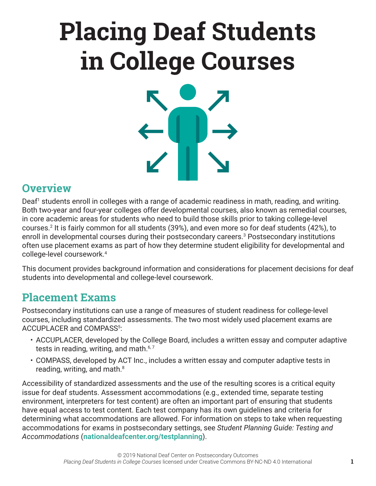# **Placing Deaf Students in College Courses**

### **Overview**

Deaf<sup>1</sup> students enroll in colleges with a range of academic readiness in math, reading, and writing. Both two-year and four-year colleges offer developmental courses, also known as remedial courses, in core academic areas for students who need to build those skills prior to taking college-level courses.2 It is fairly common for all students (39%), and even more so for deaf students (42%), to enroll in developmental courses during their postsecondary careers.3 Postsecondary institutions often use placement exams as part of how they determine student eligibility for developmental and college-level coursework.4

This document provides background information and considerations for placement decisions for deaf students into developmental and college-level coursework.

### **Placement Exams**

Postsecondary institutions can use a range of measures of student readiness for college-level courses, including standardized assessments. The two most widely used placement exams are ACCUPLACER and COMPASS<sup>5</sup>:

- ACCUPLACER, developed by the College Board, includes a written essay and computer adaptive tests in reading, writing, and math. $6.7$
- COMPASS, developed by ACT Inc., includes a written essay and computer adaptive tests in reading, writing, and math. $8<sup>8</sup>$

Accessibility of standardized assessments and the use of the resulting scores is a critical equity issue for deaf students. Assessment accommodations (e.g., extended time, separate testing environment, interpreters for test content) are often an important part of ensuring that students have equal access to test content. Each test company has its own guidelines and criteria for determining what accommodations are allowed. For information on steps to take when requesting accommodations for exams in postsecondary settings, see *Student Planning Guide: Testing and Accommodations* (**[nationaldeafcenter.org/testplanning](http://nationaldeafcenter.org/testplanning)**).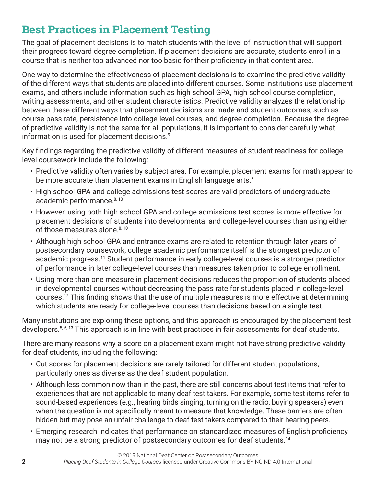### **Best Practices in Placement Testing**

The goal of placement decisions is to match students with the level of instruction that will support their progress toward degree completion. If placement decisions are accurate, students enroll in a course that is neither too advanced nor too basic for their proficiency in that content area.

One way to determine the effectiveness of placement decisions is to examine the predictive validity of the different ways that students are placed into different courses. Some institutions use placement exams, and others include information such as high school GPA, high school course completion, writing assessments, and other student characteristics. Predictive validity analyzes the relationship between these different ways that placement decisions are made and student outcomes, such as course pass rate, persistence into college-level courses, and degree completion. Because the degree of predictive validity is not the same for all populations, it is important to consider carefully what information is used for placement decisions.<sup>9</sup>

Key findings regarding the predictive validity of different measures of student readiness for collegelevel coursework include the following:

- Predictive validity often varies by subject area. For example, placement exams for math appear to be more accurate than placement exams in English language arts.<sup>5</sup>
- High school GPA and college admissions test scores are valid predictors of undergraduate academic performance.<sup>8, 10</sup>
- However, using both high school GPA and college admissions test scores is more effective for placement decisions of students into developmental and college-level courses than using either of those measures alone.<sup>8, 10</sup>
- Although high school GPA and entrance exams are related to retention through later years of postsecondary coursework, college academic performance itself is the strongest predictor of academic progress.<sup>11</sup> Student performance in early college-level courses is a stronger predictor of performance in later college-level courses than measures taken prior to college enrollment.
- Using more than one measure in placement decisions reduces the proportion of students placed in developmental courses without decreasing the pass rate for students placed in college-level courses.12 This finding shows that the use of multiple measures is more effective at determining which students are ready for college-level courses than decisions based on a single test.

Many institutions are exploring these options, and this approach is encouraged by the placement test developers.<sup>5, 6, 13</sup> This approach is in line with best practices in fair assessments for deaf students.

There are many reasons why a score on a placement exam might not have strong predictive validity for deaf students, including the following:

- Cut scores for placement decisions are rarely tailored for different student populations, particularly ones as diverse as the deaf student population.
- Although less common now than in the past, there are still concerns about test items that refer to experiences that are not applicable to many deaf test takers. For example, some test items refer to sound-based experiences (e.g., hearing birds singing, turning on the radio, buying speakers) even when the question is not specifically meant to measure that knowledge. These barriers are often hidden but may pose an unfair challenge to deaf test takers compared to their hearing peers.
- Emerging research indicates that performance on standardized measures of English proficiency may not be a strong predictor of postsecondary outcomes for deaf students.<sup>14</sup>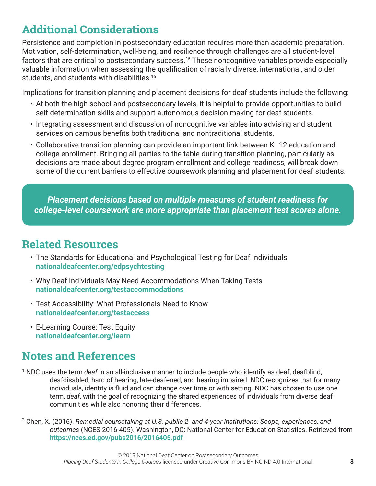# **Additional Considerations**

Persistence and completion in postsecondary education requires more than academic preparation. Motivation, self-determination, well-being, and resilience through challenges are all student-level factors that are critical to postsecondary success.<sup>15</sup> These noncognitive variables provide especially valuable information when assessing the qualification of racially diverse, international, and older students, and students with disabilities.<sup>16</sup>

Implications for transition planning and placement decisions for deaf students include the following:

- At both the high school and postsecondary levels, it is helpful to provide opportunities to build self-determination skills and support autonomous decision making for deaf students.
- Integrating assessment and discussion of noncognitive variables into advising and student services on campus benefits both traditional and nontraditional students.
- Collaborative transition planning can provide an important link between K–12 education and college enrollment. Bringing all parties to the table during transition planning, particularly as decisions are made about degree program enrollment and college readiness, will break down some of the current barriers to effective coursework planning and placement for deaf students.

*Placement decisions based on multiple measures of student readiness for college-level coursework are more appropriate than placement test scores alone.*

# **Related Resources**

- The Standards for Educational and Psychological Testing for Deaf Individuals **[nationaldeafcenter.org/edpsychtesting](http://nationaldeafcenter.org/edpsychtesting)**
- Why Deaf Individuals May Need Accommodations When Taking Tests **[nationaldeafcenter.org/testaccommodations](http://nationaldeafcenter.org/testaccommodations)**
- Test Accessibility: What Professionals Need to Know **[nationaldeafcenter.org/testaccess](http://nationaldeafcenter.org/testaccess)**
- E-Learning Course: Test Equity **[nationaldeafcenter.org/learn](http://nationaldeafcenter.org/learn)**

# **Notes and References**

- 1 NDC uses the term *deaf* in an all-inclusive manner to include people who identify as deaf, deafblind, deafdisabled, hard of hearing, late-deafened, and hearing impaired. NDC recognizes that for many individuals, identity is fluid and can change over time or with setting. NDC has chosen to use one term, *deaf*, with the goal of recognizing the shared experiences of individuals from diverse deaf communities while also honoring their differences.
- 2 Chen, X. (2016). *Remedial coursetaking at U.S. public 2- and 4-year institutions: Scope, experiences, and outcomes* (NCES-2016-405). Washington, DC: National Center for Education Statistics. Retrieved from **<https://nces.ed.gov/pubs2016/2016405.pdf>**